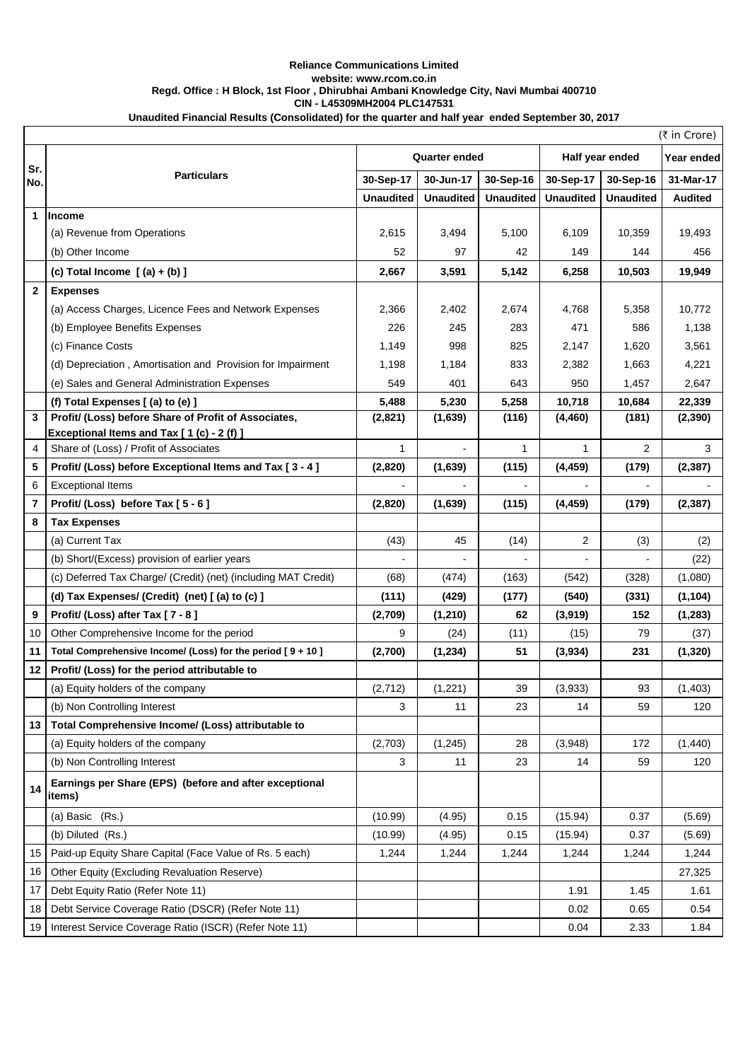## **Unaudited Financial Results (Consolidated) for the quarter and half year ended September 30, 2017 Reliance Communications Limited website: www.rcom.co.in Regd. Office : H Block, 1st Floor , Dhirubhai Ambani Knowledge City, Navi Mumbai 400710 CIN - L45309MH2004 PLC147531**

|                |                                                                                                 |                  |                  |                  |                  |                  | (₹ in Crore)   |
|----------------|-------------------------------------------------------------------------------------------------|------------------|------------------|------------------|------------------|------------------|----------------|
| Sr.            | <b>Particulars</b>                                                                              | Quarter ended    |                  |                  | Half year ended  | Year ended       |                |
| No.            |                                                                                                 | 30-Sep-17        | 30-Jun-17        | 30-Sep-16        | 30-Sep-17        | 30-Sep-16        | 31-Mar-17      |
|                |                                                                                                 | <b>Unaudited</b> | <b>Unaudited</b> | <b>Unaudited</b> | <b>Unaudited</b> | <b>Unaudited</b> | <b>Audited</b> |
| 1              | <b>Income</b>                                                                                   |                  |                  |                  |                  |                  |                |
|                | (a) Revenue from Operations                                                                     | 2,615            | 3,494            | 5,100            | 6,109            | 10,359           | 19,493         |
|                | (b) Other Income                                                                                | 52               | 97               | 42               | 149              | 144              | 456            |
|                | (c) Total Income $(a) + (b)$ ]                                                                  | 2,667            | 3,591            | 5,142            | 6,258            | 10,503           | 19,949         |
| $\mathbf{2}$   | <b>Expenses</b>                                                                                 |                  |                  |                  |                  |                  |                |
|                | (a) Access Charges, Licence Fees and Network Expenses                                           | 2,366            | 2,402            | 2,674            | 4,768            | 5,358            | 10,772         |
|                | (b) Employee Benefits Expenses                                                                  | 226              | 245              | 283              | 471              | 586              | 1,138          |
|                | (c) Finance Costs                                                                               | 1,149            | 998              | 825              | 2,147            | 1,620            | 3,561          |
|                | (d) Depreciation, Amortisation and Provision for Impairment                                     | 1,198            | 1,184            | 833              | 2,382            | 1,663            | 4,221          |
|                | (e) Sales and General Administration Expenses                                                   | 549              | 401              | 643              | 950              | 1,457            | 2,647          |
|                | (f) Total Expenses [(a) to (e) ]                                                                | 5,488            | 5,230            | 5,258            | 10,718           | 10,684           | 22,339         |
| $\mathbf{3}$   | Profit/ (Loss) before Share of Profit of Associates,<br>Exceptional Items and Tax [1(c) - 2(f)] | (2,821)          | (1,639)          | (116)            | (4, 460)         | (181)            | (2, 390)       |
| 4              | Share of (Loss) / Profit of Associates                                                          | 1                |                  | $\mathbf{1}$     | 1                | $\overline{2}$   | 3              |
| 5              | Profit/ (Loss) before Exceptional Items and Tax [3 - 4]                                         | (2,820)          | (1,639)          | (115)            | (4, 459)         | (179)            | (2, 387)       |
| 6              | <b>Exceptional Items</b>                                                                        |                  |                  |                  |                  |                  |                |
| $\overline{7}$ | Profit/ (Loss) before Tax [5 - 6]                                                               | (2,820)          | (1,639)          | (115)            | (4, 459)         | (179)            | (2, 387)       |
| 8              | <b>Tax Expenses</b>                                                                             |                  |                  |                  |                  |                  |                |
|                | (a) Current Tax                                                                                 | (43)             | 45               | (14)             | 2                | (3)              | (2)            |
|                | (b) Short/(Excess) provision of earlier years                                                   |                  |                  |                  |                  |                  | (22)           |
|                | (c) Deferred Tax Charge/ (Credit) (net) (including MAT Credit)                                  | (68)             | (474)            | (163)            | (542)            | (328)            | (1,080)        |
|                | (d) Tax Expenses/ (Credit) (net) [(a) to (c) ]                                                  | (111)            | (429)            | (177)            | (540)            | (331)            | (1, 104)       |
| 9              | Profit/ (Loss) after Tax [7 - 8]                                                                | (2,709)          | (1, 210)         | 62               | (3,919)          | 152              | (1, 283)       |
| 10             | Other Comprehensive Income for the period                                                       | 9                | (24)             | (11)             | (15)             | 79               | (37)           |
| 11             | Total Comprehensive Income/ (Loss) for the period [9 + 10]                                      | (2,700)          | (1,234)          | 51               | (3,934)          | 231              | (1,320)        |
| 12             | Profit/ (Loss) for the period attributable to                                                   |                  |                  |                  |                  |                  |                |
|                | (a) Equity holders of the company                                                               | (2,712)          | (1,221)          | 39               | (3,933)          | 93               | (1, 403)       |
|                | (b) Non Controlling Interest                                                                    | 3                | 11               | 23               | 14               | 59               | 120            |
| 13             | Total Comprehensive Income/ (Loss) attributable to                                              |                  |                  |                  |                  |                  |                |
|                | (a) Equity holders of the company                                                               | (2,703)          | (1, 245)         | 28               | (3,948)          | 172              | (1,440)        |
|                | (b) Non Controlling Interest                                                                    | 3                | 11               | 23               | 14               | 59               | 120            |
| 14             | Earnings per Share (EPS) (before and after exceptional<br>items)                                |                  |                  |                  |                  |                  |                |
|                | (a) Basic (Rs.)                                                                                 | (10.99)          | (4.95)           | 0.15             | (15.94)          | 0.37             | (5.69)         |
|                | (b) Diluted (Rs.)                                                                               | (10.99)          | (4.95)           | 0.15             | (15.94)          | 0.37             | (5.69)         |
| 15             | Paid-up Equity Share Capital (Face Value of Rs. 5 each)                                         | 1,244            | 1,244            | 1,244            | 1,244            | 1,244            | 1,244          |
| 16             | Other Equity (Excluding Revaluation Reserve)                                                    |                  |                  |                  |                  |                  | 27,325         |
| 17             | Debt Equity Ratio (Refer Note 11)                                                               |                  |                  |                  | 1.91             | 1.45             | 1.61           |
| 18             | Debt Service Coverage Ratio (DSCR) (Refer Note 11)                                              |                  |                  |                  | 0.02             | 0.65             | 0.54           |
| 19             | Interest Service Coverage Ratio (ISCR) (Refer Note 11)                                          |                  |                  |                  | 0.04             | 2.33             | 1.84           |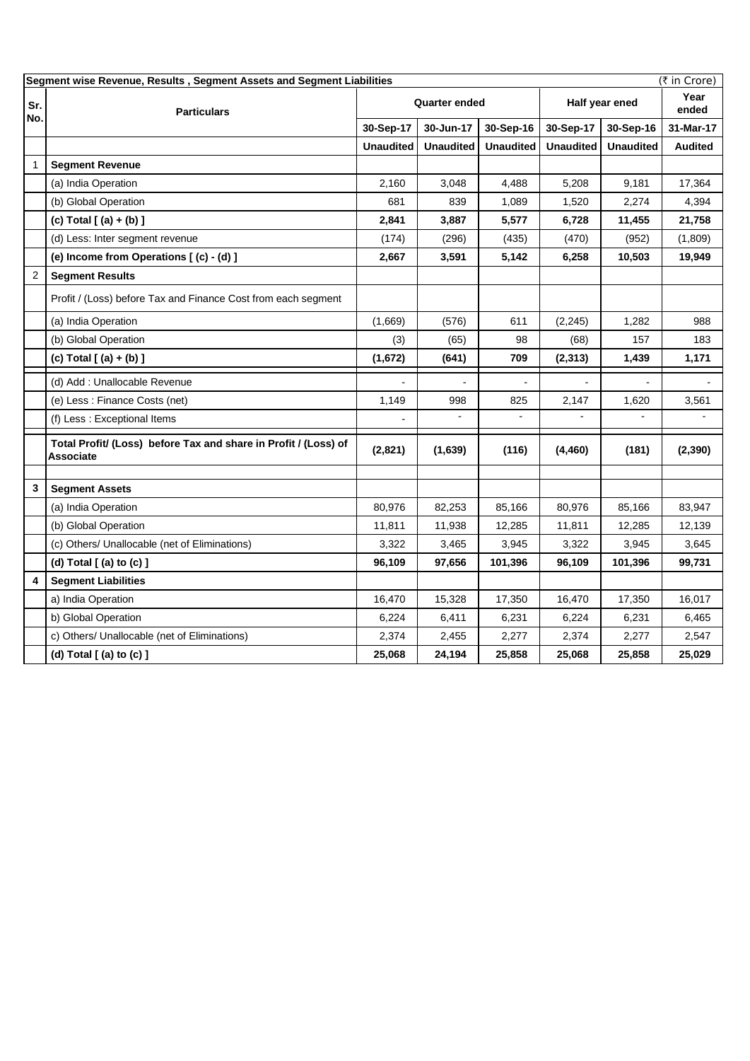| (₹ in Crore)<br>Segment wise Revenue, Results, Segment Assets and Segment Liabilities |                                                                                     |                      |                  |                  |                  |                  |                |
|---------------------------------------------------------------------------------------|-------------------------------------------------------------------------------------|----------------------|------------------|------------------|------------------|------------------|----------------|
| Sr.                                                                                   | <b>Particulars</b>                                                                  | <b>Quarter ended</b> |                  |                  | Half year ened   |                  | Year<br>ended  |
| No.                                                                                   |                                                                                     | 30-Sep-17            | 30-Jun-17        | 30-Sep-16        | 30-Sep-17        | 30-Sep-16        | 31-Mar-17      |
|                                                                                       |                                                                                     | <b>Unaudited</b>     | <b>Unaudited</b> | <b>Unaudited</b> | <b>Unaudited</b> | <b>Unaudited</b> | <b>Audited</b> |
| $\mathbf{1}$                                                                          | <b>Segment Revenue</b>                                                              |                      |                  |                  |                  |                  |                |
|                                                                                       | (a) India Operation                                                                 | 2,160                | 3,048            | 4,488            | 5,208            | 9,181            | 17,364         |
|                                                                                       | (b) Global Operation                                                                | 681                  | 839              | 1,089            | 1,520            | 2,274            | 4,394          |
|                                                                                       | (c) Total $[ (a) + (b) ]$                                                           | 2,841                | 3,887            | 5,577            | 6,728            | 11,455           | 21,758         |
|                                                                                       | (d) Less: Inter segment revenue                                                     | (174)                | (296)            | (435)            | (470)            | (952)            | (1,809)        |
|                                                                                       | (e) Income from Operations [(c) - (d) ]                                             | 2,667                | 3,591            | 5,142            | 6,258            | 10,503           | 19,949         |
| $\overline{c}$                                                                        | <b>Segment Results</b>                                                              |                      |                  |                  |                  |                  |                |
|                                                                                       | Profit / (Loss) before Tax and Finance Cost from each segment                       |                      |                  |                  |                  |                  |                |
|                                                                                       | (a) India Operation                                                                 | (1,669)              | (576)            | 611              | (2, 245)         | 1,282            | 988            |
|                                                                                       | (b) Global Operation                                                                | (3)                  | (65)             | 98               | (68)             | 157              | 183            |
|                                                                                       | (c) Total $[ (a) + (b) ]$                                                           | (1,672)              | (641)            | 709              | (2, 313)         | 1,439            | 1,171          |
|                                                                                       | (d) Add : Unallocable Revenue                                                       |                      |                  |                  |                  |                  |                |
|                                                                                       | (e) Less : Finance Costs (net)                                                      | 1,149                | 998              | 825              | 2,147            | 1,620            | 3,561          |
|                                                                                       | (f) Less : Exceptional Items                                                        |                      | $\overline{a}$   | $\overline{a}$   |                  |                  |                |
|                                                                                       | Total Profit/ (Loss) before Tax and share in Profit / (Loss) of<br><b>Associate</b> | (2,821)              | (1,639)          | (116)            | (4, 460)         | (181)            | (2, 390)       |
| 3                                                                                     | <b>Segment Assets</b>                                                               |                      |                  |                  |                  |                  |                |
|                                                                                       | (a) India Operation                                                                 | 80,976               | 82,253           | 85,166           | 80,976           | 85,166           | 83,947         |
|                                                                                       | (b) Global Operation                                                                | 11,811               | 11,938           | 12,285           | 11,811           | 12,285           | 12,139         |
|                                                                                       | (c) Others/ Unallocable (net of Eliminations)                                       | 3,322                | 3,465            | 3,945            | 3,322            | 3,945            | 3,645          |
|                                                                                       | (d) Total $[$ (a) to $(c)$ $]$                                                      | 96,109               | 97,656           | 101,396          | 96,109           | 101,396          | 99,731         |
| 4                                                                                     | <b>Segment Liabilities</b>                                                          |                      |                  |                  |                  |                  |                |
|                                                                                       | a) India Operation                                                                  | 16,470               | 15,328           | 17,350           | 16,470           | 17,350           | 16,017         |
|                                                                                       | b) Global Operation                                                                 | 6,224                | 6,411            | 6,231            | 6,224            | 6,231            | 6,465          |
|                                                                                       | c) Others/ Unallocable (net of Eliminations)                                        | 2,374                | 2,455            | 2,277            | 2,374            | 2,277            | 2,547          |
|                                                                                       | (d) Total [(a) to (c) ]                                                             | 25,068               | 24,194           | 25,858           | 25,068           | 25,858           | 25,029         |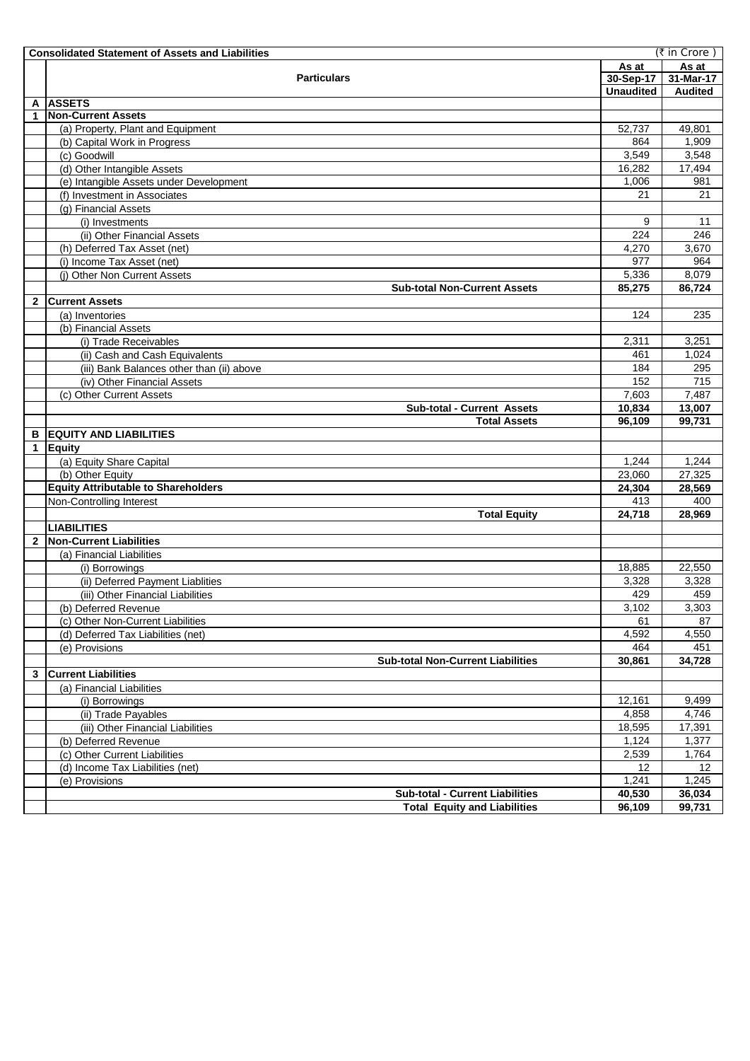|              | (₹ in Crore)<br><b>Consolidated Statement of Assets and Liabilities</b> |                  |                |  |  |  |  |
|--------------|-------------------------------------------------------------------------|------------------|----------------|--|--|--|--|
|              |                                                                         | As at            | As at          |  |  |  |  |
|              | <b>Particulars</b>                                                      | 30-Sep-17        | 31-Mar-17      |  |  |  |  |
|              |                                                                         | <b>Unaudited</b> | <b>Audited</b> |  |  |  |  |
| A            | <b>ASSETS</b>                                                           |                  |                |  |  |  |  |
| 1            | <b>Non-Current Assets</b>                                               |                  |                |  |  |  |  |
|              | (a) Property, Plant and Equipment                                       | 52,737           | 49,801         |  |  |  |  |
|              | (b) Capital Work in Progress                                            | 864              | 1,909          |  |  |  |  |
|              | (c) Goodwill                                                            | 3,549            | 3,548          |  |  |  |  |
|              | (d) Other Intangible Assets                                             | 16,282           | 17,494         |  |  |  |  |
|              | (e) Intangible Assets under Development                                 | 1,006            | 981            |  |  |  |  |
|              | (f) Investment in Associates                                            | 21               | 21             |  |  |  |  |
|              | (g) Financial Assets                                                    |                  |                |  |  |  |  |
|              | (i) Investments                                                         | 9                | 11             |  |  |  |  |
|              | (ii) Other Financial Assets                                             | 224              | 246            |  |  |  |  |
|              | (h) Deferred Tax Asset (net)                                            | 4,270            | 3,670          |  |  |  |  |
|              | (i) Income Tax Asset (net)                                              | 977              | 964            |  |  |  |  |
|              | (i) Other Non Current Assets                                            | 5,336            | 8,079          |  |  |  |  |
| $\mathbf{2}$ | <b>Sub-total Non-Current Assets</b><br><b>Current Assets</b>            | 85,275           | 86,724         |  |  |  |  |
|              |                                                                         | 124              | 235            |  |  |  |  |
|              | (a) Inventories<br>(b) Financial Assets                                 |                  |                |  |  |  |  |
|              | (i) Trade Receivables                                                   | 2,311            | 3,251          |  |  |  |  |
|              |                                                                         | 461              | 1,024          |  |  |  |  |
|              | (ii) Cash and Cash Equivalents                                          | 184              | 295            |  |  |  |  |
|              | (iii) Bank Balances other than (ii) above                               | 152              | 715            |  |  |  |  |
|              | (iv) Other Financial Assets                                             | 7,603            | 7,487          |  |  |  |  |
|              | (c) Other Current Assets<br><b>Sub-total - Current Assets</b>           | 10,834           | 13,007         |  |  |  |  |
|              | <b>Total Assets</b>                                                     | 96,109           | 99,731         |  |  |  |  |
| в            | <b>EQUITY AND LIABILITIES</b>                                           |                  |                |  |  |  |  |
| 1            | Equity                                                                  |                  |                |  |  |  |  |
|              | (a) Equity Share Capital                                                | 1,244            | 1,244          |  |  |  |  |
|              | (b) Other Equity                                                        | 23,060           | 27,325         |  |  |  |  |
|              | <b>Equity Attributable to Shareholders</b>                              | 24,304           | 28,569         |  |  |  |  |
|              | Non-Controlling Interest                                                | 413              | 400            |  |  |  |  |
|              | <b>Total Equity</b>                                                     | 24,718           | 28,969         |  |  |  |  |
|              | <b>LIABILITIES</b>                                                      |                  |                |  |  |  |  |
| $\mathbf{2}$ | Non-Current Liabilities                                                 |                  |                |  |  |  |  |
|              | (a) Financial Liabilities                                               |                  |                |  |  |  |  |
|              | (i) Borrowings                                                          | 18,885           | 22,550         |  |  |  |  |
|              | (ii) Deferred Payment Liablities                                        | 3,328            | 3,328          |  |  |  |  |
|              | (iii) Other Financial Liabilities                                       | 429              | 459            |  |  |  |  |
|              | (b) Deferred Revenue                                                    | 3,102            | 3,303          |  |  |  |  |
|              | (c) Other Non-Current Liabilities                                       | 61               | 87             |  |  |  |  |
|              | (d) Deferred Tax Liabilities (net)                                      | 4,592            | 4,550          |  |  |  |  |
|              | (e) Provisions                                                          | 464              | 451            |  |  |  |  |
|              | <b>Sub-total Non-Current Liabilities</b>                                | 30,861           | 34,728         |  |  |  |  |
| 3            | <b>Current Liabilities</b>                                              |                  |                |  |  |  |  |
|              | (a) Financial Liabilities                                               |                  |                |  |  |  |  |
|              | (i) Borrowings                                                          | 12.161           | 9,499          |  |  |  |  |
|              | (ii) Trade Payables                                                     | 4,858            | 4,746          |  |  |  |  |
|              | (iii) Other Financial Liabilities                                       | 18,595           | 17,391         |  |  |  |  |
|              | (b) Deferred Revenue                                                    | 1,124            | 1,377          |  |  |  |  |
|              | (c) Other Current Liabilities                                           | 2,539            | 1,764          |  |  |  |  |
|              | (d) Income Tax Liabilities (net)                                        | 12               | 12             |  |  |  |  |
|              | (e) Provisions                                                          | 1,241            | 1,245          |  |  |  |  |
|              | <b>Sub-total - Current Liabilities</b>                                  | 40,530           | 36,034         |  |  |  |  |
|              | <b>Total Equity and Liabilities</b>                                     | 96,109           | 99,731         |  |  |  |  |
|              |                                                                         |                  |                |  |  |  |  |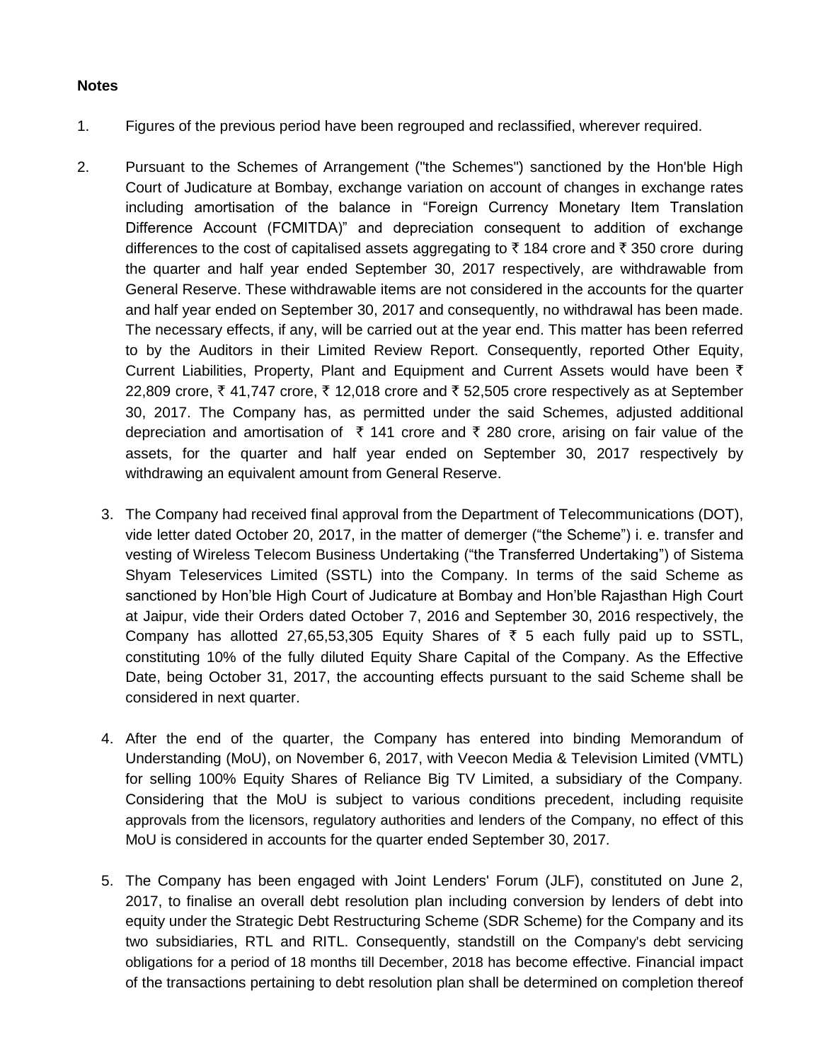## **Notes**

- 1. Figures of the previous period have been regrouped and reclassified, wherever required.
- 2. Pursuant to the Schemes of Arrangement ("the Schemes") sanctioned by the Hon'ble High Court of Judicature at Bombay, exchange variation on account of changes in exchange rates including amortisation of the balance in "Foreign Currency Monetary Item Translation Difference Account (FCMITDA)" and depreciation consequent to addition of exchange differences to the cost of capitalised assets aggregating to  $\bar{\tau}$  184 crore and  $\bar{\tau}$  350 crore during the quarter and half year ended September 30, 2017 respectively, are withdrawable from General Reserve. These withdrawable items are not considered in the accounts for the quarter and half year ended on September 30, 2017 and consequently, no withdrawal has been made. The necessary effects, if any, will be carried out at the year end. This matter has been referred to by the Auditors in their Limited Review Report. Consequently, reported Other Equity, Current Liabilities, Property, Plant and Equipment and Current Assets would have been  $\bar{\tau}$ 22,809 crore,  $\overline{\zeta}$  41,747 crore,  $\overline{\zeta}$  12,018 crore and  $\overline{\zeta}$  52,505 crore respectively as at September 30, 2017. The Company has, as permitted under the said Schemes, adjusted additional depreciation and amortisation of  $\bar{\tau}$  141 crore and  $\bar{\tau}$  280 crore, arising on fair value of the assets, for the quarter and half year ended on September 30, 2017 respectively by withdrawing an equivalent amount from General Reserve.
	- 3. The Company had received final approval from the Department of Telecommunications (DOT), vide letter dated October 20, 2017, in the matter of demerger ("the Scheme") i. e. transfer and vesting of Wireless Telecom Business Undertaking ("the Transferred Undertaking") of Sistema Shyam Teleservices Limited (SSTL) into the Company. In terms of the said Scheme as sanctioned by Hon'ble High Court of Judicature at Bombay and Hon'ble Rajasthan High Court at Jaipur, vide their Orders dated October 7, 2016 and September 30, 2016 respectively, the Company has allotted 27,65,53,305 Equity Shares of  $\bar{\tau}$  5 each fully paid up to SSTL, constituting 10% of the fully diluted Equity Share Capital of the Company. As the Effective Date, being October 31, 2017, the accounting effects pursuant to the said Scheme shall be considered in next quarter.
	- 4. After the end of the quarter, the Company has entered into binding Memorandum of Understanding (MoU), on November 6, 2017, with Veecon Media & Television Limited (VMTL) for selling 100% Equity Shares of Reliance Big TV Limited, a subsidiary of the Company. Considering that the MoU is subject to various conditions precedent, including requisite approvals from the licensors, regulatory authorities and lenders of the Company, no effect of this MoU is considered in accounts for the quarter ended September 30, 2017.
	- 5. The Company has been engaged with Joint Lenders' Forum (JLF), constituted on June 2, 2017, to finalise an overall debt resolution plan including conversion by lenders of debt into equity under the Strategic Debt Restructuring Scheme (SDR Scheme) for the Company and its two subsidiaries, RTL and RITL. Consequently, standstill on the Company's debt servicing obligations for a period of 18 months till December, 2018 has become effective. Financial impact of the transactions pertaining to debt resolution plan shall be determined on completion thereof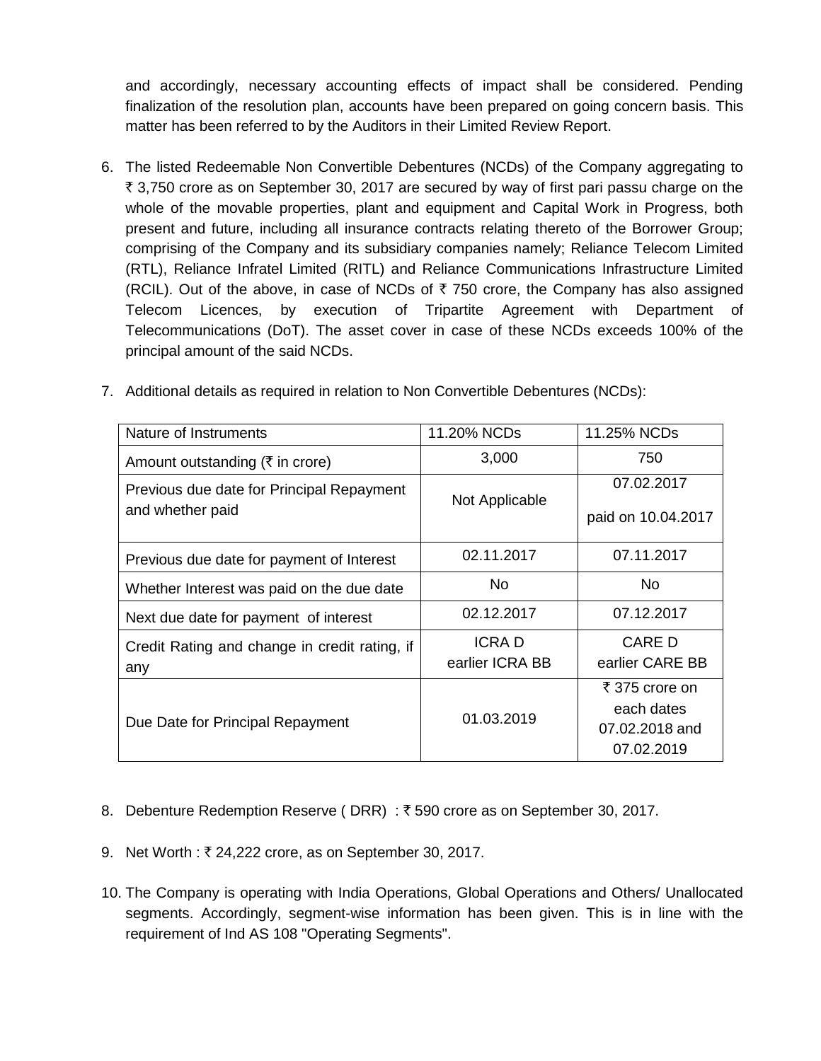and accordingly, necessary accounting effects of impact shall be considered. Pending finalization of the resolution plan, accounts have been prepared on going concern basis. This matter has been referred to by the Auditors in their Limited Review Report.

6. The listed Redeemable Non Convertible Debentures (NCDs) of the Company aggregating to  $\bar{\tau}$  3,750 crore as on September 30, 2017 are secured by way of first pari passu charge on the whole of the movable properties, plant and equipment and Capital Work in Progress, both present and future, including all insurance contracts relating thereto of the Borrower Group; comprising of the Company and its subsidiary companies namely; Reliance Telecom Limited (RTL), Reliance Infratel Limited (RITL) and Reliance Communications Infrastructure Limited (RCIL). Out of the above, in case of NCDs of  $\bar{\tau}$  750 crore, the Company has also assigned Telecom Licences, by execution of Tripartite Agreement with Department of Telecommunications (DoT). The asset cover in case of these NCDs exceeds 100% of the principal amount of the said NCDs.

| Nature of Instruments                                         | 11.20% NCDs                     | 11.25% NCDs                                                  |  |
|---------------------------------------------------------------|---------------------------------|--------------------------------------------------------------|--|
| Amount outstanding ( $\bar{\tau}$ in crore)                   | 3,000                           | 750                                                          |  |
| Previous due date for Principal Repayment<br>and whether paid | Not Applicable                  | 07.02.2017<br>paid on 10.04.2017                             |  |
| Previous due date for payment of Interest                     | 02.11.2017                      | 07.11.2017                                                   |  |
| Whether Interest was paid on the due date                     | No.                             | No.                                                          |  |
| Next due date for payment of interest                         | 02.12.2017                      | 07.12.2017                                                   |  |
| Credit Rating and change in credit rating, if<br>any          | <b>ICRAD</b><br>earlier ICRA BB | <b>CARE D</b><br>earlier CARE BB                             |  |
| Due Date for Principal Repayment                              | 01.03.2019                      | ₹ 375 crore on<br>each dates<br>07.02.2018 and<br>07.02.2019 |  |

7. Additional details as required in relation to Non Convertible Debentures (NCDs):

- 8. Debenture Redemption Reserve (DRR) : ₹590 crore as on September 30, 2017.
- 9. Net Worth : ₹ 24,222 crore, as on September 30, 2017.
- 10. The Company is operating with India Operations, Global Operations and Others/ Unallocated segments. Accordingly, segment-wise information has been given. This is in line with the requirement of Ind AS 108 "Operating Segments".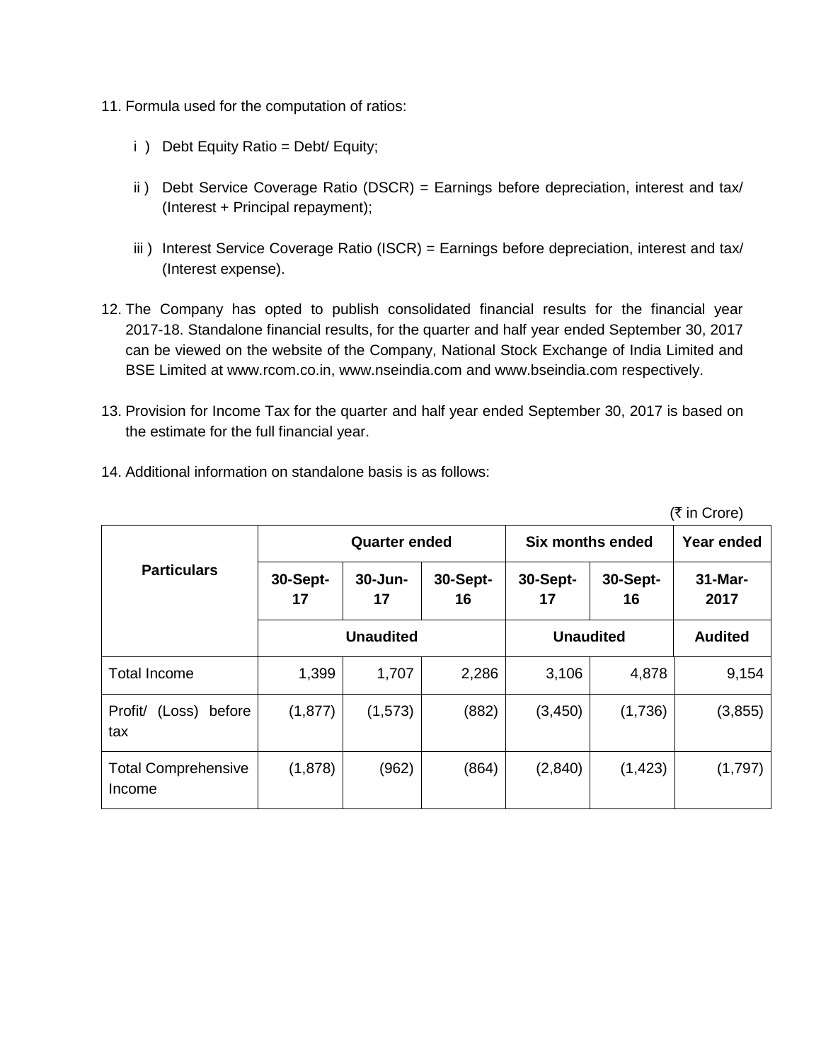- 11. Formula used for the computation of ratios:
	- i ) Debt Equity Ratio = Debt/ Equity;
	- ii) Debt Service Coverage Ratio (DSCR) = Earnings before depreciation, interest and tax/ (Interest + Principal repayment);
	- iii) Interest Service Coverage Ratio (ISCR) = Earnings before depreciation, interest and tax/ (Interest expense).
- 12. The Company has opted to publish consolidated financial results for the financial year 2017-18. Standalone financial results, for the quarter and half year ended September 30, 2017 can be viewed on the website of the Company, National Stock Exchange of India Limited and BSE Limited at www.rcom.co.in, www.nseindia.com and www.bseindia.com respectively.
- 13. Provision for Income Tax for the quarter and half year ended September 30, 2017 is based on the estimate for the full financial year.

 $($ ₹ in Crore)

|                                      |                  | <b>Quarter ended</b> |                |                  | Six months ended |                    |  |
|--------------------------------------|------------------|----------------------|----------------|------------------|------------------|--------------------|--|
| <b>Particulars</b>                   | 30-Sept-<br>17   | 30-Jun-<br>17        | 30-Sept-<br>16 | 30-Sept-<br>17   | 30-Sept-<br>16   | $31$ -Mar-<br>2017 |  |
|                                      | <b>Unaudited</b> |                      |                | <b>Unaudited</b> | <b>Audited</b>   |                    |  |
| <b>Total Income</b>                  | 1,399            | 1,707                | 2,286          | 3,106            | 4,878            | 9,154              |  |
| Profit/<br>(Loss)<br>before<br>tax   | (1, 877)         | (1, 573)             | (882)          | (3, 450)         | (1,736)          | (3, 855)           |  |
| <b>Total Comprehensive</b><br>Income | (1,878)          | (962)                | (864)          | (2,840)          | (1, 423)         | (1,797)            |  |

14. Additional information on standalone basis is as follows: